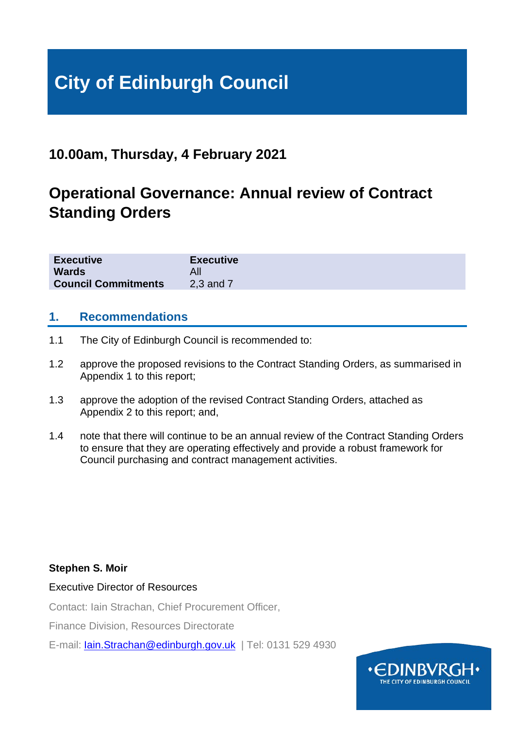# **City of Edinburgh Council**

# **10.00am, Thursday, 4 February 2021**

# **Operational Governance: Annual review of Contract Standing Orders**

| <b>Executive</b>           | <b>Executive</b> |
|----------------------------|------------------|
| <b>Wards</b>               |                  |
| <b>Council Commitments</b> | 2,3 and 7        |

## **1. Recommendations**

- 1.1 The City of Edinburgh Council is recommended to:
- 1.2 approve the proposed revisions to the Contract Standing Orders, as summarised in Appendix 1 to this report;
- 1.3 approve the adoption of the revised Contract Standing Orders, attached as Appendix 2 to this report; and,
- 1.4 note that there will continue to be an annual review of the Contract Standing Orders to ensure that they are operating effectively and provide a robust framework for Council purchasing and contract management activities.

### **Stephen S. Moir**

Executive Director of Resources

Contact: Iain Strachan, Chief Procurement Officer,

Finance Division, Resources Directorate

E-mail: [Iain.Strachan@edinburgh.gov.uk](mailto:Iain.Strachan@edinburgh.gov.uk) | Tel: 0131 529 4930

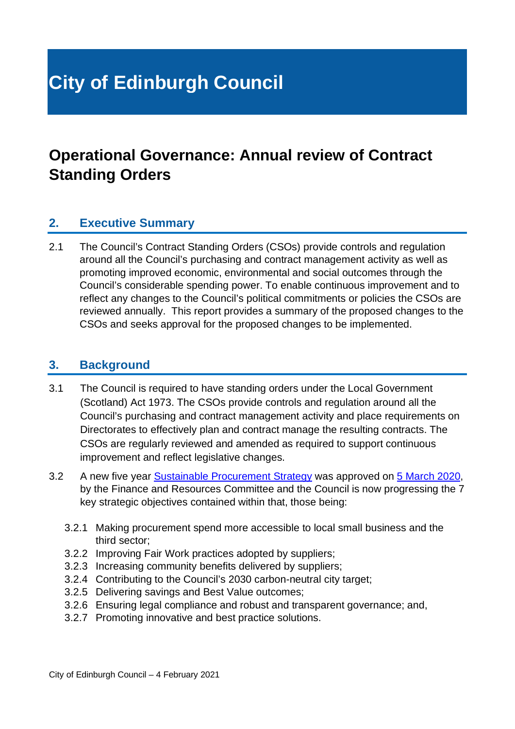# **City of Edinburgh Council**

# **Operational Governance: Annual review of Contract Standing Orders**

## **2. Executive Summary**

2.1 The Council's Contract Standing Orders (CSOs) provide controls and regulation around all the Council's purchasing and contract management activity as well as promoting improved economic, environmental and social outcomes through the Council's considerable spending power. To enable continuous improvement and to reflect any changes to the Council's political commitments or policies the CSOs are reviewed annually. This report provides a summary of the proposed changes to the CSOs and seeks approval for the proposed changes to be implemented.

### **3. Background**

- 3.1 The Council is required to have standing orders under the Local Government (Scotland) Act 1973. The CSOs provide controls and regulation around all the Council's purchasing and contract management activity and place requirements on Directorates to effectively plan and contract manage the resulting contracts. The CSOs are regularly reviewed and amended as required to support continuous improvement and reflect legislative changes.
- 3.2 A new five year [Sustainable Procurement Strategy](https://www.edinburgh.gov.uk/downloads/file/27180/procurement-strategy-2020-to-2025) was approved on [5 March 2020,](https://democracy.edinburgh.gov.uk/documents/s14802/7.7%20-%20Sustainable%20Procurement%20Strategy.pdf) by the Finance and Resources Committee and the Council is now progressing the 7 key strategic objectives contained within that, those being:
	- 3.2.1 Making procurement spend more accessible to local small business and the third sector;
	- 3.2.2 Improving Fair Work practices adopted by suppliers;
	- 3.2.3 Increasing community benefits delivered by suppliers;
	- 3.2.4 Contributing to the Council's 2030 carbon-neutral city target;
	- 3.2.5 Delivering savings and Best Value outcomes;
	- 3.2.6 Ensuring legal compliance and robust and transparent governance; and,
	- 3.2.7 Promoting innovative and best practice solutions.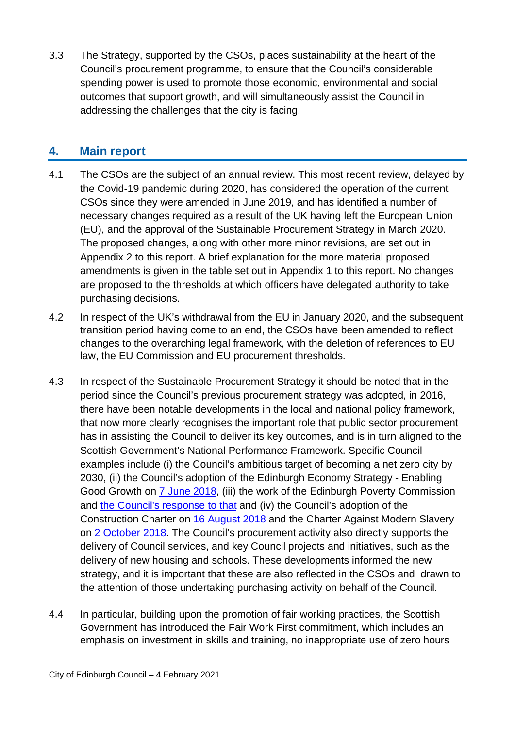3.3 The Strategy, supported by the CSOs, places sustainability at the heart of the Council's procurement programme, to ensure that the Council's considerable spending power is used to promote those economic, environmental and social outcomes that support growth, and will simultaneously assist the Council in addressing the challenges that the city is facing.

## **4. Main report**

- 4.1 The CSOs are the subject of an annual review. This most recent review, delayed by the Covid-19 pandemic during 2020, has considered the operation of the current CSOs since they were amended in June 2019, and has identified a number of necessary changes required as a result of the UK having left the European Union (EU), and the approval of the Sustainable Procurement Strategy in March 2020. The proposed changes, along with other more minor revisions, are set out in Appendix 2 to this report. A brief explanation for the more material proposed amendments is given in the table set out in Appendix 1 to this report. No changes are proposed to the thresholds at which officers have delegated authority to take purchasing decisions.
- 4.2 In respect of the UK's withdrawal from the EU in January 2020, and the subsequent transition period having come to an end, the CSOs have been amended to reflect changes to the overarching legal framework, with the deletion of references to EU law, the EU Commission and EU procurement thresholds.
- 4.3 In respect of the Sustainable Procurement Strategy it should be noted that in the period since the Council's previous procurement strategy was adopted, in 2016, there have been notable developments in the local and national policy framework, that now more clearly recognises the important role that public sector procurement has in assisting the Council to deliver its key outcomes, and is in turn aligned to the Scottish Government's National Performance Framework. Specific Council examples include (i) the Council's ambitious target of becoming a net zero city by 2030, (ii) the Council's adoption of the Edinburgh Economy Strategy - Enabling Good Growth on [7 June 2018,](https://democracy.edinburgh.gov.uk/Data/Housing%20and%20Economy%20Committee/20180607/Agenda/item_71_-_edinburgh_economy_strategy.pdf) (iii) the work of the Edinburgh Poverty Commission and [the Council's response to that](https://democracy.edinburgh.gov.uk/documents/s29287/Item%207.4%20-%20End%20Poverty%20in%20Edinburgh%20Delivery%20Plan%202020-30.pdf) and (iv) the Council's adoption of the Construction Charter on [16 August 2018](https://democracy.edinburgh.gov.uk/Data/Finance%20and%20Resources%20Committee/20180816/Agenda/item_715_-_construction_charter.pdf) and the Charter Against Modern Slavery on [2 October 2018.](https://democracy.edinburgh.gov.uk/Data/Corporate%20Policy%20and%20Strategy%20Committee/20181002/Agenda/$item_82_-_charter_against_modern_slavery.xls.pdf) The Council's procurement activity also directly supports the delivery of Council services, and key Council projects and initiatives, such as the delivery of new housing and schools. These developments informed the new strategy, and it is important that these are also reflected in the CSOs and drawn to the attention of those undertaking purchasing activity on behalf of the Council.
- 4.4 In particular, building upon the promotion of fair working practices, the Scottish Government has introduced the Fair Work First commitment, which includes an emphasis on investment in skills and training, no inappropriate use of zero hours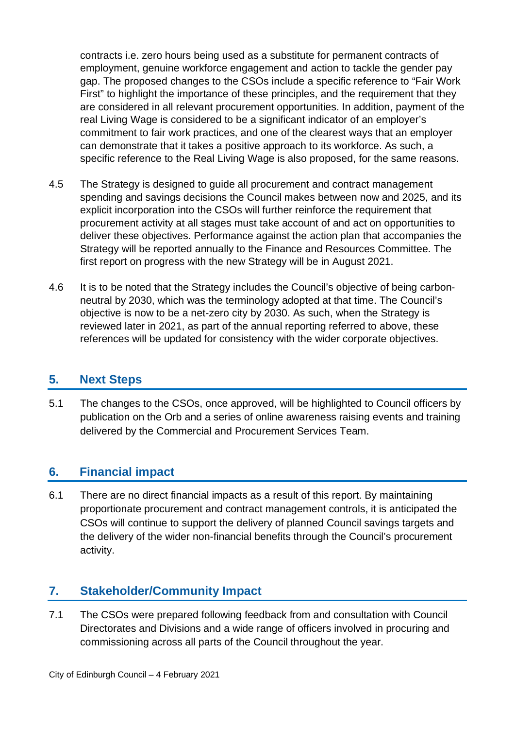contracts i.e. zero hours being used as a substitute for permanent contracts of employment, genuine workforce engagement and action to tackle the gender pay gap. The proposed changes to the CSOs include a specific reference to "Fair Work First" to highlight the importance of these principles, and the requirement that they are considered in all relevant procurement opportunities. In addition, payment of the real Living Wage is considered to be a significant indicator of an employer's commitment to fair work practices, and one of the clearest ways that an employer can demonstrate that it takes a positive approach to its workforce. As such, a specific reference to the Real Living Wage is also proposed, for the same reasons.

- 4.5 The Strategy is designed to guide all procurement and contract management spending and savings decisions the Council makes between now and 2025, and its explicit incorporation into the CSOs will further reinforce the requirement that procurement activity at all stages must take account of and act on opportunities to deliver these objectives. Performance against the action plan that accompanies the Strategy will be reported annually to the Finance and Resources Committee. The first report on progress with the new Strategy will be in August 2021.
- 4.6 It is to be noted that the Strategy includes the Council's objective of being carbonneutral by 2030, which was the terminology adopted at that time. The Council's objective is now to be a net-zero city by 2030. As such, when the Strategy is reviewed later in 2021, as part of the annual reporting referred to above, these references will be updated for consistency with the wider corporate objectives.

## **5. Next Steps**

5.1 The changes to the CSOs, once approved, will be highlighted to Council officers by publication on the Orb and a series of online awareness raising events and training delivered by the Commercial and Procurement Services Team.

## **6. Financial impact**

6.1 There are no direct financial impacts as a result of this report. By maintaining proportionate procurement and contract management controls, it is anticipated the CSOs will continue to support the delivery of planned Council savings targets and the delivery of the wider non-financial benefits through the Council's procurement activity.

## **7. Stakeholder/Community Impact**

7.1 The CSOs were prepared following feedback from and consultation with Council Directorates and Divisions and a wide range of officers involved in procuring and commissioning across all parts of the Council throughout the year.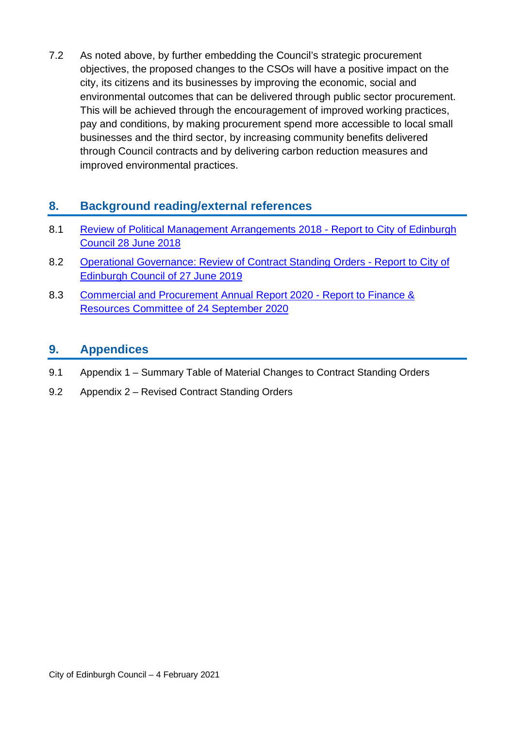7.2 As noted above, by further embedding the Council's strategic procurement objectives, the proposed changes to the CSOs will have a positive impact on the city, its citizens and its businesses by improving the economic, social and environmental outcomes that can be delivered through public sector procurement. This will be achieved through the encouragement of improved working practices, pay and conditions, by making procurement spend more accessible to local small businesses and the third sector, by increasing community benefits delivered through Council contracts and by delivering carbon reduction measures and improved environmental practices.

## **8. Background reading/external references**

- 8.1 Review of Political Management Arrangements 2018 Report to City of Edinburgh Council 28 June 2018
- 8.2 [Operational Governance: Review of Contract Standing Orders Report to City of](https://democracy.edinburgh.gov.uk/Data/City%20of%20Edinburgh%20Council/20190627/Agenda/item_87_-_operational_governance-_review_of_contract_standing_orders.pdf)  [Edinburgh Council of 27 June 2019](https://democracy.edinburgh.gov.uk/Data/City%20of%20Edinburgh%20Council/20190627/Agenda/item_87_-_operational_governance-_review_of_contract_standing_orders.pdf)
- 8.3 [Commercial and Procurement Annual Report 2020 Report to Finance &](https://democracy.edinburgh.gov.uk/documents/s26398/7.3%20-%20Commercial%20and%20Procurement%20Annual%20Report%20-%202020.pdf)  [Resources Committee of 24 September 2020](https://democracy.edinburgh.gov.uk/documents/s26398/7.3%20-%20Commercial%20and%20Procurement%20Annual%20Report%20-%202020.pdf)

## **9. Appendices**

- 9.1 Appendix 1 Summary Table of Material Changes to Contract Standing Orders
- 9.2 Appendix 2 Revised Contract Standing Orders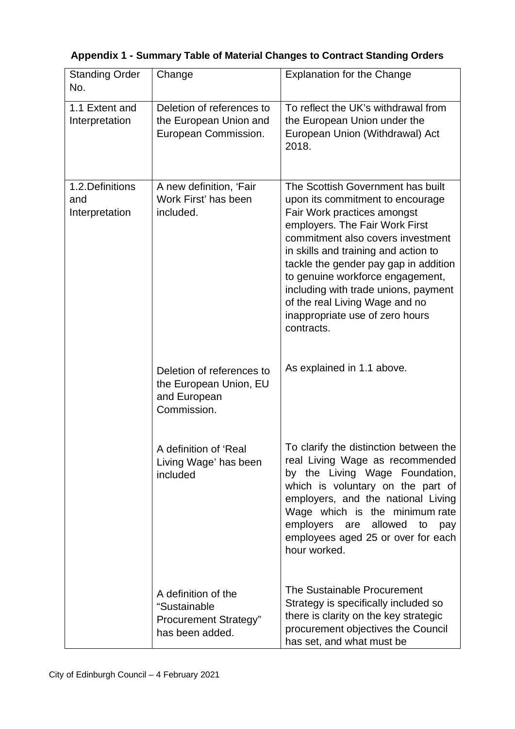## **Appendix 1 - Summary Table of Material Changes to Contract Standing Orders**

| <b>Standing Order</b><br>No.              | Change                                                                                 | <b>Explanation for the Change</b>                                                                                                                                                                                                                                                                                                                                                                                           |  |
|-------------------------------------------|----------------------------------------------------------------------------------------|-----------------------------------------------------------------------------------------------------------------------------------------------------------------------------------------------------------------------------------------------------------------------------------------------------------------------------------------------------------------------------------------------------------------------------|--|
| 1.1 Extent and<br>Interpretation          | Deletion of references to<br>the European Union and<br>European Commission.            | To reflect the UK's withdrawal from<br>the European Union under the<br>European Union (Withdrawal) Act<br>2018.                                                                                                                                                                                                                                                                                                             |  |
| 1.2. Definitions<br>and<br>Interpretation | A new definition, 'Fair<br>Work First' has been<br>included.                           | The Scottish Government has built<br>upon its commitment to encourage<br>Fair Work practices amongst<br>employers. The Fair Work First<br>commitment also covers investment<br>in skills and training and action to<br>tackle the gender pay gap in addition<br>to genuine workforce engagement,<br>including with trade unions, payment<br>of the real Living Wage and no<br>inappropriate use of zero hours<br>contracts. |  |
|                                           | Deletion of references to<br>the European Union, EU<br>and European<br>Commission.     | As explained in 1.1 above.                                                                                                                                                                                                                                                                                                                                                                                                  |  |
|                                           | A definition of 'Real<br>Living Wage' has been<br>included                             | To clarify the distinction between the<br>real Living Wage as recommended<br>by the Living Wage Foundation,<br>which is voluntary on the part of<br>employers, and the national Living<br>Wage which is the minimum rate<br>employers are allowed<br>to<br>pay<br>employees aged 25 or over for each<br>hour worked.                                                                                                        |  |
|                                           | A definition of the<br>"Sustainable<br><b>Procurement Strategy"</b><br>has been added. | The Sustainable Procurement<br>Strategy is specifically included so<br>there is clarity on the key strategic<br>procurement objectives the Council<br>has set, and what must be                                                                                                                                                                                                                                             |  |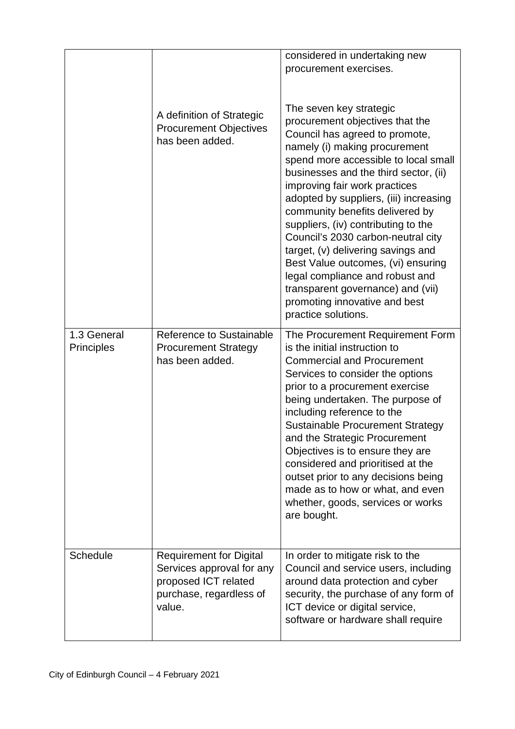|                                  | A definition of Strategic<br><b>Procurement Objectives</b><br>has been added.                                            | considered in undertaking new<br>procurement exercises.<br>The seven key strategic<br>procurement objectives that the<br>Council has agreed to promote,<br>namely (i) making procurement<br>spend more accessible to local small<br>businesses and the third sector, (ii)<br>improving fair work practices<br>adopted by suppliers, (iii) increasing<br>community benefits delivered by<br>suppliers, (iv) contributing to the<br>Council's 2030 carbon-neutral city<br>target, (v) delivering savings and<br>Best Value outcomes, (vi) ensuring<br>legal compliance and robust and<br>transparent governance) and (vii)<br>promoting innovative and best<br>practice solutions. |
|----------------------------------|--------------------------------------------------------------------------------------------------------------------------|----------------------------------------------------------------------------------------------------------------------------------------------------------------------------------------------------------------------------------------------------------------------------------------------------------------------------------------------------------------------------------------------------------------------------------------------------------------------------------------------------------------------------------------------------------------------------------------------------------------------------------------------------------------------------------|
| 1.3 General<br><b>Principles</b> | Reference to Sustainable<br><b>Procurement Strategy</b><br>has been added.                                               | The Procurement Requirement Form<br>is the initial instruction to<br><b>Commercial and Procurement</b><br>Services to consider the options<br>prior to a procurement exercise<br>being undertaken. The purpose of<br>including reference to the<br><b>Sustainable Procurement Strategy</b><br>and the Strategic Procurement<br>Objectives is to ensure they are<br>considered and prioritised at the<br>outset prior to any decisions being<br>made as to how or what, and even<br>whether, goods, services or works<br>are bought.                                                                                                                                              |
| Schedule                         | <b>Requirement for Digital</b><br>Services approval for any<br>proposed ICT related<br>purchase, regardless of<br>value. | In order to mitigate risk to the<br>Council and service users, including<br>around data protection and cyber<br>security, the purchase of any form of<br>ICT device or digital service,<br>software or hardware shall require                                                                                                                                                                                                                                                                                                                                                                                                                                                    |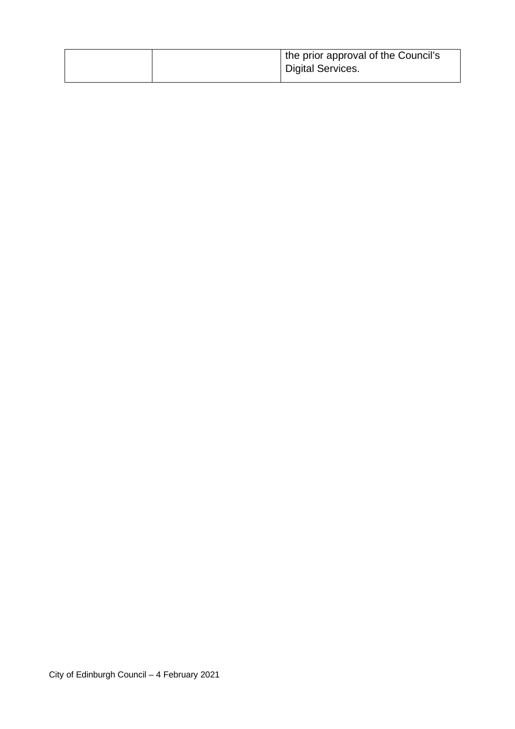|  | I the prior approval of the Council's<br>Digital Services. |
|--|------------------------------------------------------------|
|  |                                                            |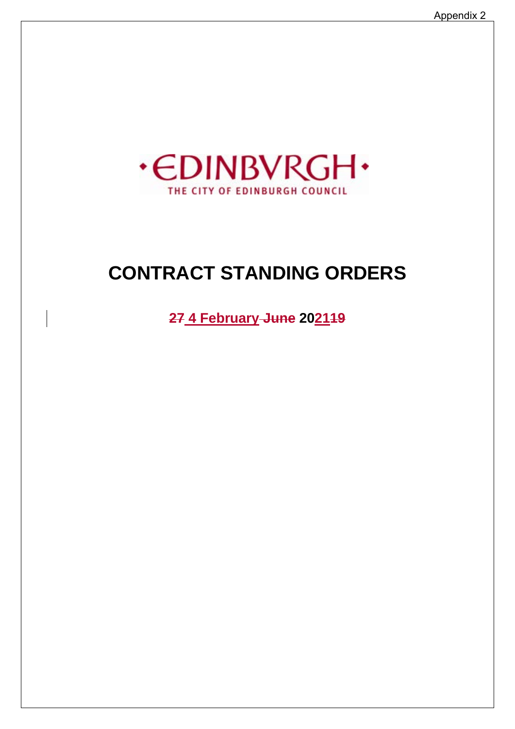

# **CONTRACT STANDING ORDERS**

**27 4 February June 202119**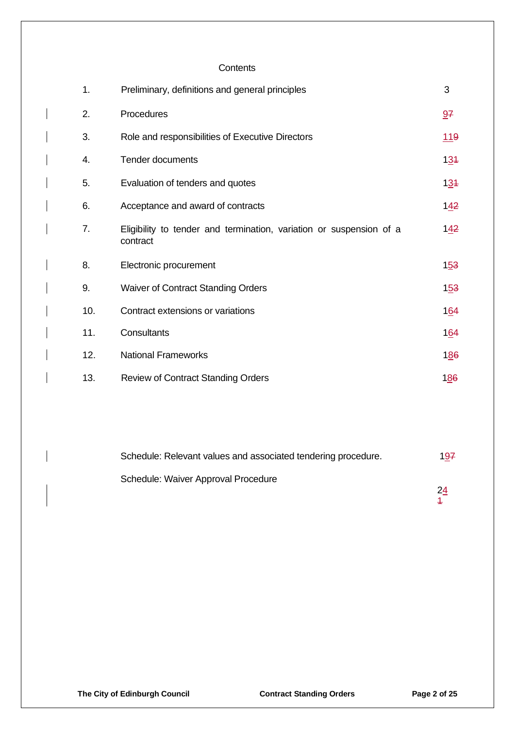#### **Contents**

| 1.  | Preliminary, definitions and general principles                                 | 3   |
|-----|---------------------------------------------------------------------------------|-----|
| 2.  | Procedures                                                                      | 97  |
| 3.  | Role and responsibilities of Executive Directors                                | 119 |
| 4.  | <b>Tender documents</b>                                                         | 134 |
| 5.  | Evaluation of tenders and quotes                                                | 134 |
| 6.  | Acceptance and award of contracts                                               | 142 |
| 7.  | Eligibility to tender and termination, variation or suspension of a<br>contract | 142 |
| 8.  | Electronic procurement                                                          | 153 |
| 9.  | <b>Waiver of Contract Standing Orders</b>                                       | 153 |
| 10. | Contract extensions or variations                                               | 164 |
| 11. | Consultants                                                                     | 164 |
| 12. | <b>National Frameworks</b>                                                      | 186 |
| 13. | <b>Review of Contract Standing Orders</b>                                       | 186 |

| Schedule: Relevant values and associated tendering procedure. | 197 |
|---------------------------------------------------------------|-----|
| Schedule: Waiver Approval Procedure                           | 24  |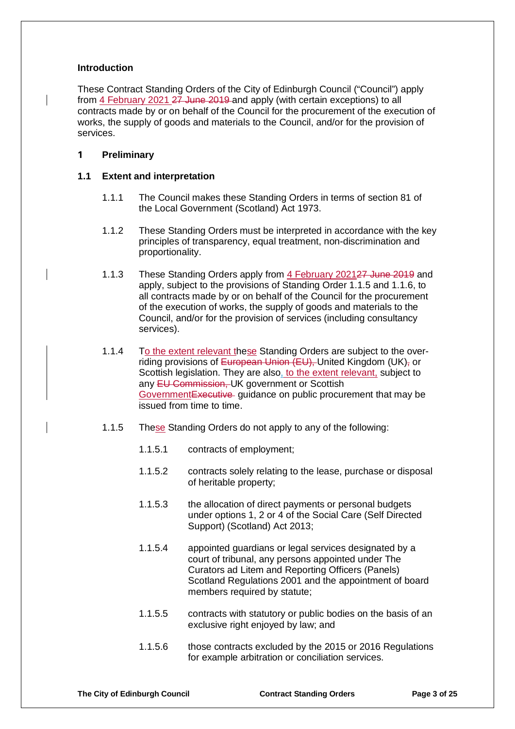#### **Introduction**

These Contract Standing Orders of the City of Edinburgh Council ("Council") apply from 4 February 2021 27 June 2019 and apply (with certain exceptions) to all contracts made by or on behalf of the Council for the procurement of the execution of works, the supply of goods and materials to the Council, and/or for the provision of services.

#### **1 Preliminary**

#### **1.1 Extent and interpretation**

- 1.1.1 The Council makes these Standing Orders in terms of section 81 of the Local Government (Scotland) Act 1973.
- 1.1.2 These Standing Orders must be interpreted in accordance with the key principles of transparency, equal treatment, non-discrimination and proportionality.
- 1.1.3 These Standing Orders apply from 4 February 202127 June 2019 and apply, subject to the provisions of Standing Order 1.1.5 and 1.1.6, to all contracts made by or on behalf of the Council for the procurement of the execution of works, the supply of goods and materials to the Council, and/or for the provision of services (including consultancy services).
- 1.1.4 To the extent relevant these Standing Orders are subject to the overriding provisions of European Union (EU), United Kingdom (UK), or Scottish legislation. They are also, to the extent relevant, subject to any EU Commission, UK government or Scottish GovernmentExecutive guidance on public procurement that may be issued from time to time.
- 1.1.5 These Standing Orders do not apply to any of the following:
	- 1.1.5.1 contracts of employment;
	- 1.1.5.2 contracts solely relating to the lease, purchase or disposal of heritable property;
	- 1.1.5.3 the allocation of direct payments or personal budgets under options 1, 2 or 4 of the Social Care (Self Directed Support) (Scotland) Act 2013;
	- 1.1.5.4 appointed guardians or legal services designated by a court of tribunal, any persons appointed under The Curators ad Litem and Reporting Officers (Panels) Scotland Regulations 2001 and the appointment of board members required by statute;
	- 1.1.5.5 contracts with statutory or public bodies on the basis of an exclusive right enjoyed by law; and
	- 1.1.5.6 those contracts excluded by the 2015 or 2016 Regulations for example arbitration or conciliation services.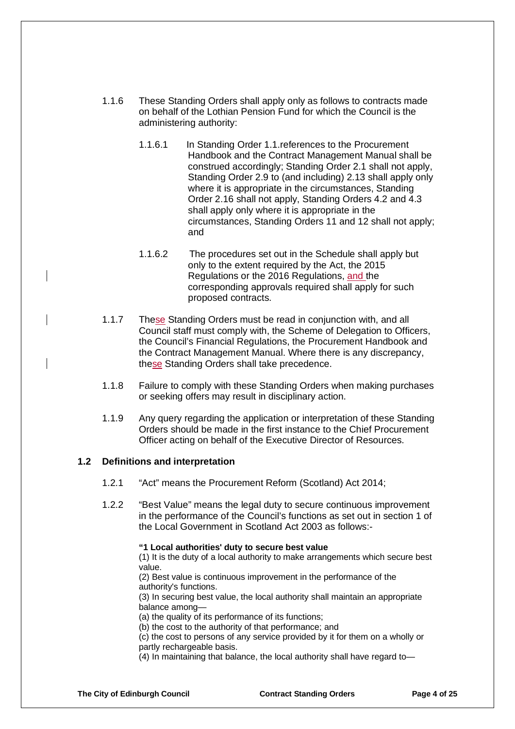- 1.1.6 These Standing Orders shall apply only as follows to contracts made on behalf of the Lothian Pension Fund for which the Council is the administering authority:
	- 1.1.6.1 In Standing Order 1.1.references to the Procurement Handbook and the Contract Management Manual shall be construed accordingly; Standing Order 2.1 shall not apply, Standing Order 2.9 to (and including) 2.13 shall apply only where it is appropriate in the circumstances, Standing Order 2.16 shall not apply, Standing Orders 4.2 and 4.3 shall apply only where it is appropriate in the circumstances, Standing Orders 11 and 12 shall not apply; and
	- 1.1.6.2 The procedures set out in the Schedule shall apply but only to the extent required by the Act, the 2015 Regulations or the 2016 Regulations, and the corresponding approvals required shall apply for such proposed contracts.
- 1.1.7 These Standing Orders must be read in conjunction with, and all Council staff must comply with, the Scheme of Delegation to Officers, the Council's Financial Regulations, the Procurement Handbook and the Contract Management Manual. Where there is any discrepancy, these Standing Orders shall take precedence.
- 1.1.8 Failure to comply with these Standing Orders when making purchases or seeking offers may result in disciplinary action.
- 1.1.9 Any query regarding the application or interpretation of these Standing Orders should be made in the first instance to the Chief Procurement Officer acting on behalf of the Executive Director of Resources.

#### **1.2 Definitions and interpretation**

- 1.2.1 "Act" means the Procurement Reform (Scotland) Act 2014;
- 1.2.2 "Best Value" means the legal duty to secure continuous improvement in the performance of the Council's functions as set out in section 1 of the Local Government in Scotland Act 2003 as follows:-

#### **"1 Local authorities' duty to secure best value**

(1) It is the duty of a local authority to make arrangements which secure best value.

(2) Best value is continuous improvement in the performance of the authority's functions.

(3) In securing best value, the local authority shall maintain an appropriate balance among—

(a) the quality of its performance of its functions;

(b) the cost to the authority of that performance; and

(c) the cost to persons of any service provided by it for them on a wholly or partly rechargeable basis.

(4) In maintaining that balance, the local authority shall have regard to—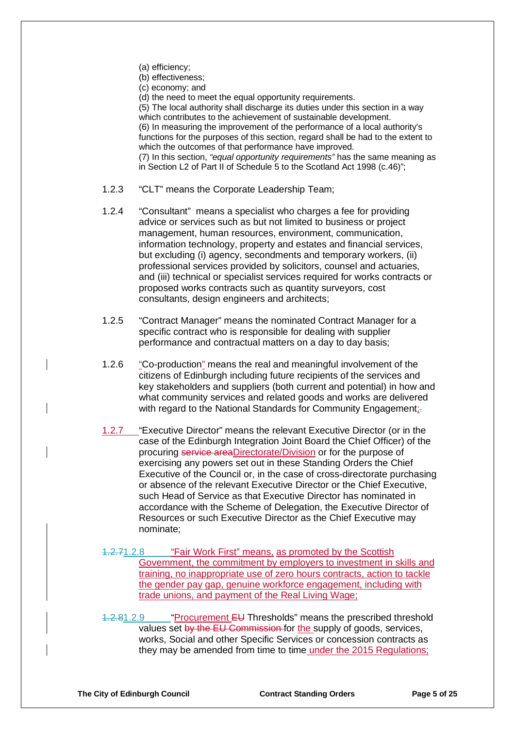- (a) efficiency;
- (b) effectiveness;
- (c) economy; and

(d) the need to meet the equal opportunity requirements.

(5) The local authority shall discharge its duties under this section in a way which contributes to the achievement of sustainable development. (6) In measuring the improvement of the performance of a local authority's functions for the purposes of this section, regard shall be had to the extent to which the outcomes of that performance have improved. (7) In this section, *"equal opportunity requirements"* has the same meaning as in [Section L2 of Part II of Schedule 5](http://login.westlaw.co.uk/maf/wluk/app/document?src=doc&linktype=ref&context=43&crumb-action=replace&docguid=IFA922170E44811DA8D70A0E70A78ED65) to the [Scotland Act 1998 \(c.46\)"](http://login.westlaw.co.uk/maf/wluk/app/document?src=doc&linktype=ref&context=43&crumb-action=replace&docguid=I5FBAD900E42311DAA7CF8F68F6EE57AB);

- 1.2.3 "CLT" means the Corporate Leadership Team;
- 1.2.4 "Consultant" means a specialist who charges a fee for providing advice or services such as but not limited to business or project management, human resources, environment, communication, information technology, property and estates and financial services, but excluding (i) agency, secondments and temporary workers, (ii) professional services provided by solicitors, counsel and actuaries, and (iii) technical or specialist services required for works contracts or proposed works contracts such as quantity surveyors, cost consultants, design engineers and architects;
- 1.2.5 "Contract Manager" means the nominated Contract Manager for a specific contract who is responsible for dealing with supplier performance and contractual matters on a day to day basis;
- 1.2.6 "Co-production" means the real and meaningful involvement of the citizens of Edinburgh including future recipients of the services and key stakeholders and suppliers (both current and potential) in how and what community services and related goods and works are delivered with regard to the National Standards for Community Engagement;-
- 1.2.7 "Executive Director" means the relevant Executive Director (or in the case of the Edinburgh Integration Joint Board the Chief Officer) of the procuring service areaDirectorate/Division or for the purpose of exercising any powers set out in these Standing Orders the Chief Executive of the Council or, in the case of cross-directorate purchasing or absence of the relevant Executive Director or the Chief Executive, such Head of Service as that Executive Director has nominated in accordance with the Scheme of Delegation, the Executive Director of Resources or such Executive Director as the Chief Executive may nominate;
- 1.2.71.2.8 "Fair Work First" means, as promoted by the Scottish Government, the commitment by employers to investment in skills and training, no inappropriate use of zero hours contracts, action to tackle the gender pay gap, genuine workforce engagement, including with trade unions, and payment of the Real Living Wage;
- 1.2.81.2.9 "Procurement EU Thresholds" means the prescribed threshold values set by the EU Commission for the supply of goods, services, works, Social and other Specific Services or concession contracts as they may be amended from time to time under the 2015 Regulations;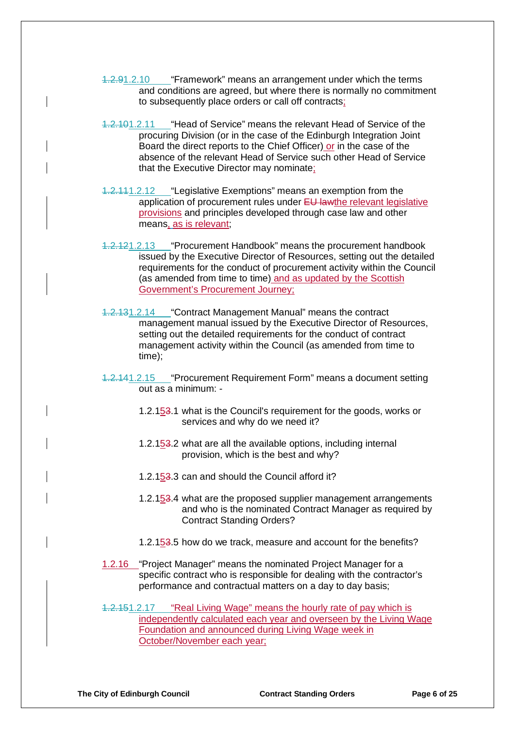- 1.2.91.2.10 "Framework" means an arrangement under which the terms and conditions are agreed, but where there is normally no commitment to subsequently place orders or call off contracts;
- 1.2.101.2.11 "Head of Service" means the relevant Head of Service of the procuring Division (or in the case of the Edinburgh Integration Joint Board the direct reports to the Chief Officer) or in the case of the absence of the relevant Head of Service such other Head of Service that the Executive Director may nominate;
- 1.2.111.2.12 "Legislative Exemptions" means an exemption from the application of procurement rules under EU lawthe relevant legislative provisions and principles developed through case law and other means, as is relevant;
- 1.2.121.2.13 "Procurement Handbook" means the procurement handbook issued by the Executive Director of Resources, setting out the detailed requirements for the conduct of procurement activity within the Council (as amended from time to time) and as updated by the Scottish Government's Procurement Journey;
- 1.2.131.2.14 "Contract Management Manual" means the contract management manual issued by the Executive Director of Resources, setting out the detailed requirements for the conduct of contract management activity within the Council (as amended from time to time);
- 1.2.141.2.15 "Procurement Requirement Form" means a document setting out as a minimum: -
	- 1.2.153.1 what is the Council's requirement for the goods, works or services and why do we need it?
	- 1.2.153.2 what are all the available options, including internal provision, which is the best and why?
	- 1.2.153.3 can and should the Council afford it?
	- 1.2.153.4 what are the proposed supplier management arrangements and who is the nominated Contract Manager as required by Contract Standing Orders?
	- 1.2.153.5 how do we track, measure and account for the benefits?
- 1.2.16 "Project Manager" means the nominated Project Manager for a specific contract who is responsible for dealing with the contractor's performance and contractual matters on a day to day basis;
- 1.2.151.2.17 "Real Living Wage" means the hourly rate of pay which is independently calculated each year and overseen by the Living Wage Foundation and announced during Living Wage week in October/November each year;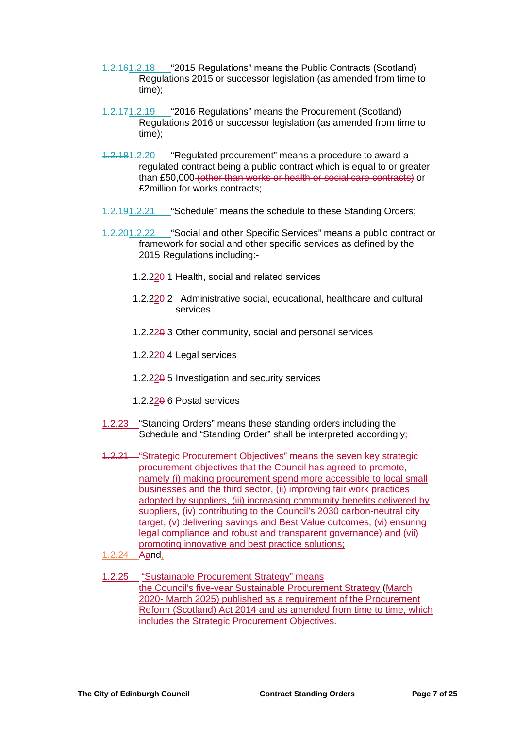- 1.2.161.2.18 "2015 Regulations" means the Public Contracts (Scotland) Regulations 2015 or successor legislation (as amended from time to time);
- 1.2.171.2.19 "2016 Regulations" means the Procurement (Scotland) Regulations 2016 or successor legislation (as amended from time to time);
- 1.2.181.2.20 "Regulated procurement" means a procedure to award a regulated contract being a public contract which is equal to or greater than £50,000 (other than works or health or social care contracts) or £2million for works contracts;
- 1.2.191.2.21 "Schedule" means the schedule to these Standing Orders;
- 1.2.201.2.22 "Social and other Specific Services" means a public contract or framework for social and other specific services as defined by the 2015 Regulations including:-
	- 1.2.220.1 Health, social and related services
	- 1.2.220.2 Administrative social, educational, healthcare and cultural services
	- 1.2.220.3 Other community, social and personal services
	- 1.2.220.4 Legal services
	- 1.2.220.5 Investigation and security services
	- 1.2.220.6 Postal services
- 1.2.23 "Standing Orders" means these standing orders including the Schedule and "Standing Order" shall be interpreted accordingly;
- 1.2.21 "Strategic Procurement Objectives" means the seven key strategic procurement objectives that the Council has agreed to promote, namely (i) making procurement spend more accessible to local small businesses and the third sector, (ii) improving fair work practices adopted by suppliers, (iii) increasing community benefits delivered by suppliers, (iv) contributing to the Council's 2030 carbon-neutral city target, (v) delivering savings and Best Value outcomes, (vi) ensuring legal compliance and robust and transparent governance) and (vii) promoting innovative and best practice solutions;
- 1.2.24 Aand,
- 1.2.25 "Sustainable Procurement Strategy" means the Council's five-year Sustainable Procurement Strategy (March 2020- March 2025) published as a requirement of the Procurement Reform (Scotland) Act 2014 and as amended from time to time, which includes the Strategic Procurement Objectives.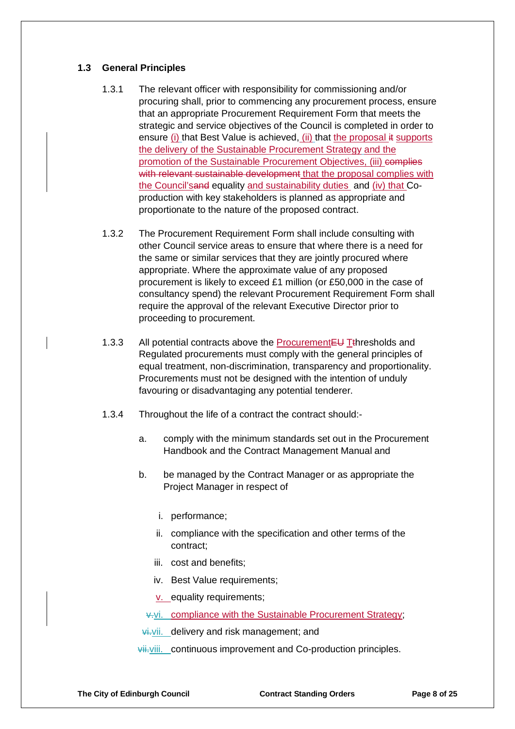#### **1.3 General Principles**

- 1.3.1 The relevant officer with responsibility for commissioning and/or procuring shall, prior to commencing any procurement process, ensure that an appropriate Procurement Requirement Form that meets the strategic and service objectives of the Council is completed in order to ensure (i) that Best Value is achieved, (ii) that the proposal it supports the delivery of the Sustainable Procurement Strategy and the promotion of the Sustainable Procurement Objectives, (iii) complies with relevant sustainable development that the proposal complies with the Council'sand equality and sustainability duties and (iv) that Coproduction with key stakeholders is planned as appropriate and proportionate to the nature of the proposed contract.
- 1.3.2 The Procurement Requirement Form shall include consulting with other Council service areas to ensure that where there is a need for the same or similar services that they are jointly procured where appropriate. Where the approximate value of any proposed procurement is likely to exceed £1 million (or £50,000 in the case of consultancy spend) the relevant Procurement Requirement Form shall require the approval of the relevant Executive Director prior to proceeding to procurement.
- 1.3.3 All potential contracts above the Procurement EU Tthresholds and Regulated procurements must comply with the general principles of equal treatment, non-discrimination, transparency and proportionality. Procurements must not be designed with the intention of unduly favouring or disadvantaging any potential tenderer.
- 1.3.4 Throughout the life of a contract the contract should:
	- a. comply with the minimum standards set out in the Procurement Handbook and the Contract Management Manual and
	- b. be managed by the Contract Manager or as appropriate the Project Manager in respect of
		- i. performance;
		- ii. compliance with the specification and other terms of the contract;
		- iii. cost and benefits;
		- iv. Best Value requirements;
		- v. equality requirements;

v.vi. compliance with the Sustainable Procurement Strategy;

**vi**.vii. delivery and risk management; and

vii.viii. continuous improvement and Co-production principles.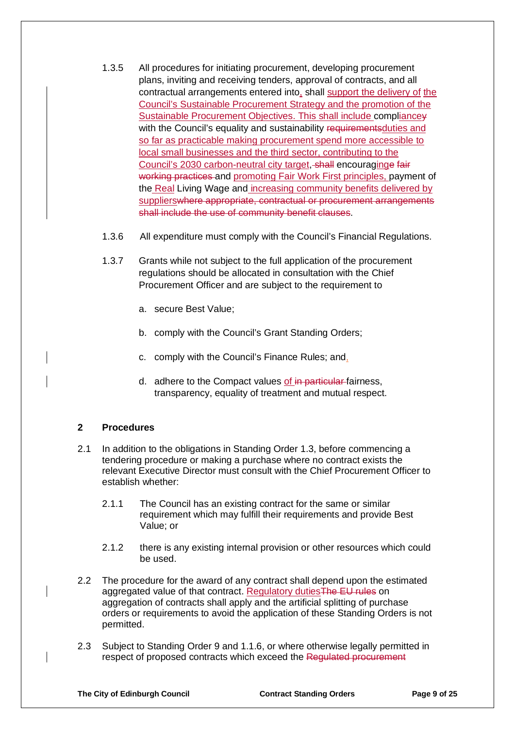- 1.3.5 All procedures for initiating procurement, developing procurement plans, inviting and receiving tenders, approval of contracts, and all contractual arrangements entered into, shall support the delivery of the Council's Sustainable Procurement Strategy and the promotion of the Sustainable Procurement Objectives. This shall include compliancey with the Council's equality and sustainability requirementsduties and so far as practicable making procurement spend more accessible to local small businesses and the third sector, contributing to the Council's 2030 carbon-neutral city target, shall encouraginge fair working practices and promoting Fair Work First principles, payment of the Real Living Wage and increasing community benefits delivered by supplierswhere appropriate, contractual or procurement arrangements shall include the use of community benefit clauses.
- 1.3.6 All expenditure must comply with the Council's Financial Regulations.
- 1.3.7 Grants while not subject to the full application of the procurement regulations should be allocated in consultation with the Chief Procurement Officer and are subject to the requirement to
	- a. secure Best Value;
	- b. comply with the Council's Grant Standing Orders;
	- c. comply with the Council's Finance Rules; and,
	- d. adhere to the Compact values of in particular fairness, transparency, equality of treatment and mutual respect.

### **2 Procedures**

- 2.1 In addition to the obligations in Standing Order 1.3, before commencing a tendering procedure or making a purchase where no contract exists the relevant Executive Director must consult with the Chief Procurement Officer to establish whether:
	- 2.1.1 The Council has an existing contract for the same or similar requirement which may fulfill their requirements and provide Best Value; or
	- 2.1.2 there is any existing internal provision or other resources which could be used.
- 2.2 The procedure for the award of any contract shall depend upon the estimated aggregated value of that contract. Regulatory duties The EU rules on aggregation of contracts shall apply and the artificial splitting of purchase orders or requirements to avoid the application of these Standing Orders is not permitted.
- 2.3 Subject to Standing Order 9 and 1.1.6, or where otherwise legally permitted in respect of proposed contracts which exceed the Regulated procurement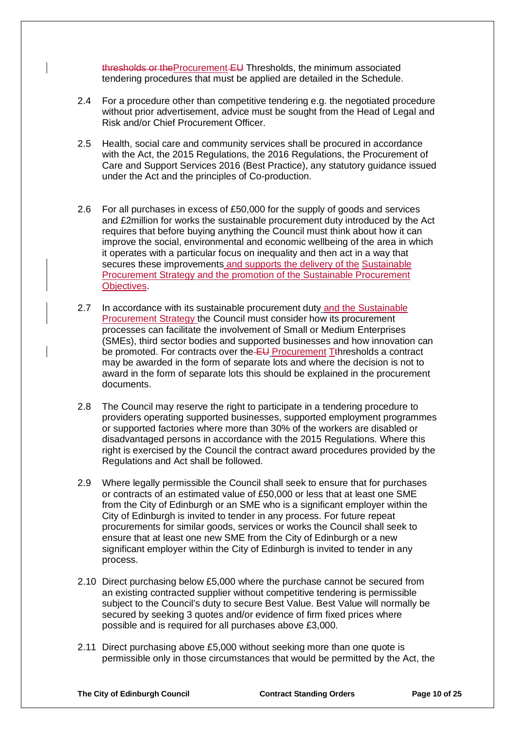thresholds or theProcurement EU Thresholds, the minimum associated tendering procedures that must be applied are detailed in the Schedule.

- 2.4 For a procedure other than competitive tendering e.g. the negotiated procedure without prior advertisement, advice must be sought from the Head of Legal and Risk and/or Chief Procurement Officer.
- 2.5 Health, social care and community services shall be procured in accordance with the Act, the 2015 Regulations, the 2016 Regulations, the Procurement of Care and Support Services 2016 (Best Practice), any statutory guidance issued under the Act and the principles of Co-production.
- 2.6 For all purchases in excess of £50,000 for the supply of goods and services and £2million for works the sustainable procurement duty introduced by the Act requires that before buying anything the Council must think about how it can improve the social, environmental and economic wellbeing of the area in which it operates with a particular focus on inequality and then act in a way that secures these improvements and supports the delivery of the Sustainable Procurement Strategy and the promotion of the Sustainable Procurement **Objectives.**
- 2.7 In accordance with its sustainable procurement duty and the Sustainable Procurement Strategy the Council must consider how its procurement processes can facilitate the involvement of Small or Medium Enterprises (SMEs), third sector bodies and supported businesses and how innovation can be promoted. For contracts over the  $E_{\text{U}}$  Procurement Tthresholds a contract may be awarded in the form of separate lots and where the decision is not to award in the form of separate lots this should be explained in the procurement documents.
- 2.8 The Council may reserve the right to participate in a tendering procedure to providers operating supported businesses, supported employment programmes or supported factories where more than 30% of the workers are disabled or disadvantaged persons in accordance with the 2015 Regulations. Where this right is exercised by the Council the contract award procedures provided by the Regulations and Act shall be followed.
- 2.9 Where legally permissible the Council shall seek to ensure that for purchases or contracts of an estimated value of £50,000 or less that at least one SME from the City of Edinburgh or an SME who is a significant employer within the City of Edinburgh is invited to tender in any process. For future repeat procurements for similar goods, services or works the Council shall seek to ensure that at least one new SME from the City of Edinburgh or a new significant employer within the City of Edinburgh is invited to tender in any process.
- 2.10 Direct purchasing below £5,000 where the purchase cannot be secured from an existing contracted supplier without competitive tendering is permissible subject to the Council's duty to secure Best Value. Best Value will normally be secured by seeking 3 quotes and/or evidence of firm fixed prices where possible and is required for all purchases above £3,000.
- 2.11 Direct purchasing above £5,000 without seeking more than one quote is permissible only in those circumstances that would be permitted by the Act, the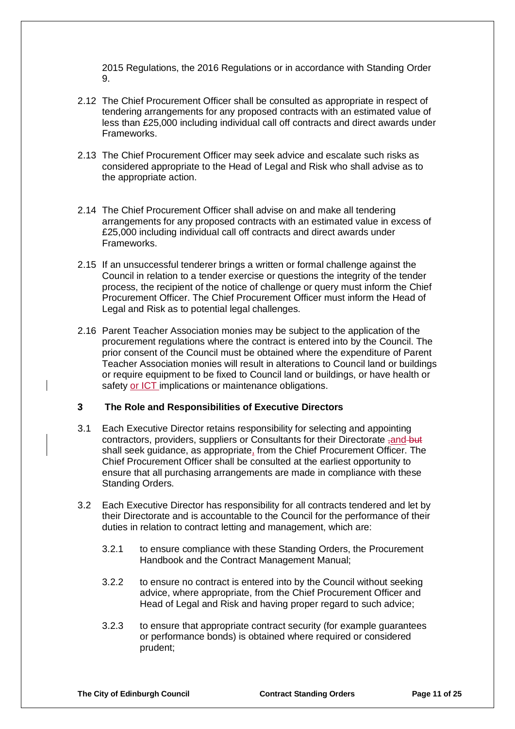2015 Regulations, the 2016 Regulations or in accordance with Standing Order  $\Omega$ 

- 2.12 The Chief Procurement Officer shall be consulted as appropriate in respect of tendering arrangements for any proposed contracts with an estimated value of less than £25,000 including individual call off contracts and direct awards under Frameworks.
- 2.13 The Chief Procurement Officer may seek advice and escalate such risks as considered appropriate to the Head of Legal and Risk who shall advise as to the appropriate action.
- 2.14 The Chief Procurement Officer shall advise on and make all tendering arrangements for any proposed contracts with an estimated value in excess of £25,000 including individual call off contracts and direct awards under Frameworks.
- 2.15 If an unsuccessful tenderer brings a written or formal challenge against the Council in relation to a tender exercise or questions the integrity of the tender process, the recipient of the notice of challenge or query must inform the Chief Procurement Officer. The Chief Procurement Officer must inform the Head of Legal and Risk as to potential legal challenges.
- 2.16 Parent Teacher Association monies may be subject to the application of the procurement regulations where the contract is entered into by the Council. The prior consent of the Council must be obtained where the expenditure of Parent Teacher Association monies will result in alterations to Council land or buildings or require equipment to be fixed to Council land or buildings, or have health or safety or ICT implications or maintenance obligations.

#### **3 The Role and Responsibilities of Executive Directors**

- 3.1 Each Executive Director retains responsibility for selecting and appointing contractors, providers, suppliers or Consultants for their Directorate -and but shall seek guidance, as appropriate, from the Chief Procurement Officer. The Chief Procurement Officer shall be consulted at the earliest opportunity to ensure that all purchasing arrangements are made in compliance with these Standing Orders.
- 3.2 Each Executive Director has responsibility for all contracts tendered and let by their Directorate and is accountable to the Council for the performance of their duties in relation to contract letting and management, which are:
	- 3.2.1 to ensure compliance with these Standing Orders, the Procurement Handbook and the Contract Management Manual;
	- 3.2.2 to ensure no contract is entered into by the Council without seeking advice, where appropriate, from the Chief Procurement Officer and Head of Legal and Risk and having proper regard to such advice;
	- 3.2.3 to ensure that appropriate contract security (for example guarantees or performance bonds) is obtained where required or considered prudent;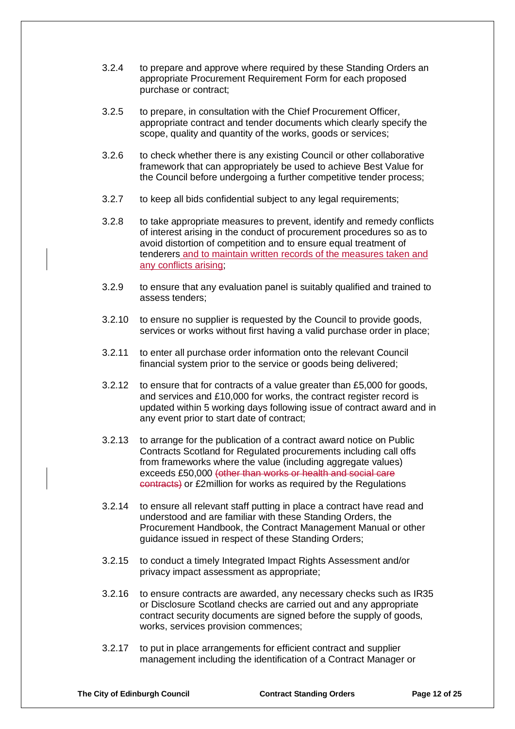- 3.2.4 to prepare and approve where required by these Standing Orders an appropriate Procurement Requirement Form for each proposed purchase or contract;
- 3.2.5 to prepare, in consultation with the Chief Procurement Officer, appropriate contract and tender documents which clearly specify the scope, quality and quantity of the works, goods or services;
- 3.2.6 to check whether there is any existing Council or other collaborative framework that can appropriately be used to achieve Best Value for the Council before undergoing a further competitive tender process;
- 3.2.7 to keep all bids confidential subject to any legal requirements;
- 3.2.8 to take appropriate measures to prevent, identify and remedy conflicts of interest arising in the conduct of procurement procedures so as to avoid distortion of competition and to ensure equal treatment of tenderers and to maintain written records of the measures taken and any conflicts arising;
- 3.2.9 to ensure that any evaluation panel is suitably qualified and trained to assess tenders;
- 3.2.10 to ensure no supplier is requested by the Council to provide goods, services or works without first having a valid purchase order in place;
- 3.2.11 to enter all purchase order information onto the relevant Council financial system prior to the service or goods being delivered;
- 3.2.12 to ensure that for contracts of a value greater than £5,000 for goods, and services and £10,000 for works, the contract register record is updated within 5 working days following issue of contract award and in any event prior to start date of contract;
- 3.2.13 to arrange for the publication of a contract award notice on Public Contracts Scotland for Regulated procurements including call offs from frameworks where the value (including aggregate values) exceeds £50,000 (other than works or health and social care contracts) or £2million for works as required by the Regulations
- 3.2.14 to ensure all relevant staff putting in place a contract have read and understood and are familiar with these Standing Orders, the Procurement Handbook, the Contract Management Manual or other guidance issued in respect of these Standing Orders;
- 3.2.15 to conduct a timely Integrated Impact Rights Assessment and/or privacy impact assessment as appropriate;
- 3.2.16 to ensure contracts are awarded, any necessary checks such as IR35 or Disclosure Scotland checks are carried out and any appropriate contract security documents are signed before the supply of goods, works, services provision commences;
- 3.2.17 to put in place arrangements for efficient contract and supplier management including the identification of a Contract Manager or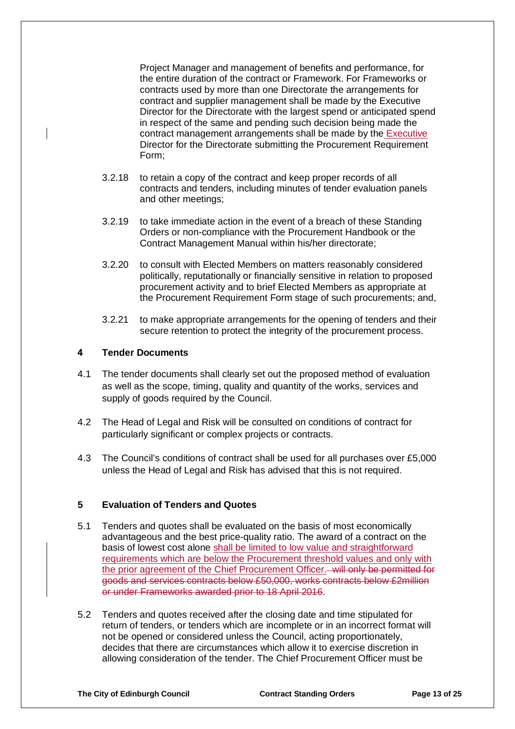Project Manager and management of benefits and performance, for the entire duration of the contract or Framework. For Frameworks or contracts used by more than one Directorate the arrangements for contract and supplier management shall be made by the Executive Director for the Directorate with the largest spend or anticipated spend in respect of the same and pending such decision being made the contract management arrangements shall be made by the Executive Director for the Directorate submitting the Procurement Requirement Form;

- 3.2.18 to retain a copy of the contract and keep proper records of all contracts and tenders, including minutes of tender evaluation panels and other meetings;
- 3.2.19 to take immediate action in the event of a breach of these Standing Orders or non-compliance with the Procurement Handbook or the Contract Management Manual within his/her directorate;
- 3.2.20 to consult with Elected Members on matters reasonably considered politically, reputationally or financially sensitive in relation to proposed procurement activity and to brief Elected Members as appropriate at the Procurement Requirement Form stage of such procurements; and,
- 3.2.21 to make appropriate arrangements for the opening of tenders and their secure retention to protect the integrity of the procurement process.

#### **4 Tender Documents**

- 4.1 The tender documents shall clearly set out the proposed method of evaluation as well as the scope, timing, quality and quantity of the works, services and supply of goods required by the Council.
- 4.2 The Head of Legal and Risk will be consulted on conditions of contract for particularly significant or complex projects or contracts.
- 4.3 The Council's conditions of contract shall be used for all purchases over £5,000 unless the Head of Legal and Risk has advised that this is not required.

#### **5 Evaluation of Tenders and Quotes**

- 5.1 Tenders and quotes shall be evaluated on the basis of most economically advantageous and the best price-quality ratio. The award of a contract on the basis of lowest cost alone shall be limited to low value and straightforward requirements which are below the Procurement threshold values and only with the prior agreement of the Chief Procurement Officer. will only be permitted for goods and services contracts below £50,000, works contracts below £2million or under Frameworks awarded prior to 18 April 2016.
- 5.2 Tenders and quotes received after the closing date and time stipulated for return of tenders, or tenders which are incomplete or in an incorrect format will not be opened or considered unless the Council, acting proportionately, decides that there are circumstances which allow it to exercise discretion in allowing consideration of the tender. The Chief Procurement Officer must be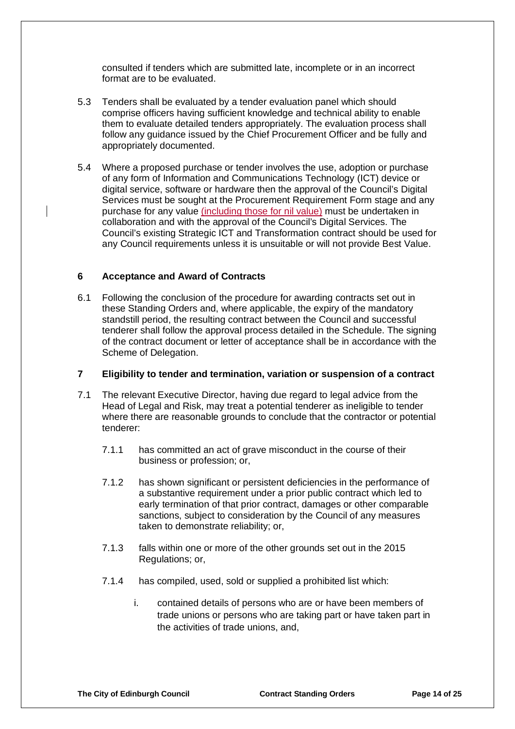consulted if tenders which are submitted late, incomplete or in an incorrect format are to be evaluated.

- 5.3 Tenders shall be evaluated by a tender evaluation panel which should comprise officers having sufficient knowledge and technical ability to enable them to evaluate detailed tenders appropriately. The evaluation process shall follow any guidance issued by the Chief Procurement Officer and be fully and appropriately documented.
- 5.4 Where a proposed purchase or tender involves the use, adoption or purchase of any form of Information and Communications Technology (ICT) device or digital service, software or hardware then the approval of the Council's Digital Services must be sought at the Procurement Requirement Form stage and any purchase for any value (including those for nil value) must be undertaken in collaboration and with the approval of the Council's Digital Services. The Council's existing Strategic ICT and Transformation contract should be used for any Council requirements unless it is unsuitable or will not provide Best Value.

#### **6 Acceptance and Award of Contracts**

6.1 Following the conclusion of the procedure for awarding contracts set out in these Standing Orders and, where applicable, the expiry of the mandatory standstill period, the resulting contract between the Council and successful tenderer shall follow the approval process detailed in the Schedule. The signing of the contract document or letter of acceptance shall be in accordance with the Scheme of Delegation.

#### **7 Eligibility to tender and termination, variation or suspension of a contract**

- 7.1 The relevant Executive Director, having due regard to legal advice from the Head of Legal and Risk, may treat a potential tenderer as ineligible to tender where there are reasonable grounds to conclude that the contractor or potential tenderer:
	- 7.1.1 has committed an act of grave misconduct in the course of their business or profession; or,
	- 7.1.2 has shown significant or persistent deficiencies in the performance of a substantive requirement under a prior public contract which led to early termination of that prior contract, damages or other comparable sanctions, subject to consideration by the Council of any measures taken to demonstrate reliability; or,
	- 7.1.3 falls within one or more of the other grounds set out in the 2015 Regulations; or,
	- 7.1.4 has compiled, used, sold or supplied a prohibited list which:
		- i. contained details of persons who are or have been members of trade unions or persons who are taking part or have taken part in the activities of trade unions, and,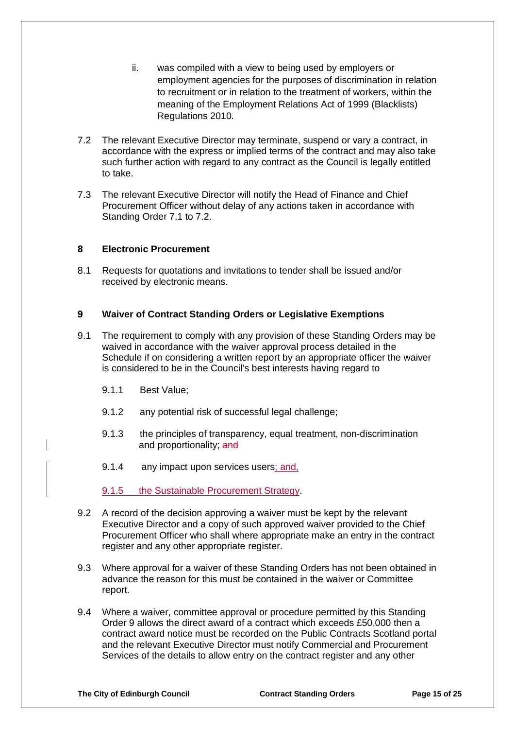- ii. was compiled with a view to being used by employers or employment agencies for the purposes of discrimination in relation to recruitment or in relation to the treatment of workers, within the meaning of the Employment Relations Act of 1999 (Blacklists) Regulations 2010.
- 7.2 The relevant Executive Director may terminate, suspend or vary a contract, in accordance with the express or implied terms of the contract and may also take such further action with regard to any contract as the Council is legally entitled to take.
- 7.3 The relevant Executive Director will notify the Head of Finance and Chief Procurement Officer without delay of any actions taken in accordance with Standing Order 7.1 to 7.2.

#### **8 Electronic Procurement**

8.1 Requests for quotations and invitations to tender shall be issued and/or received by electronic means.

#### **9 Waiver of Contract Standing Orders or Legislative Exemptions**

- 9.1 The requirement to comply with any provision of these Standing Orders may be waived in accordance with the waiver approval process detailed in the Schedule if on considering a written report by an appropriate officer the waiver is considered to be in the Council's best interests having regard to
	- 9.1.1 Best Value;
	- 9.1.2 any potential risk of successful legal challenge;
	- 9.1.3 the principles of transparency, equal treatment, non-discrimination and proportionality; and
	- 9.1.4 any impact upon services users; and,

9.1.5 the Sustainable Procurement Strategy.

- 9.2 A record of the decision approving a waiver must be kept by the relevant Executive Director and a copy of such approved waiver provided to the Chief Procurement Officer who shall where appropriate make an entry in the contract register and any other appropriate register.
- 9.3 Where approval for a waiver of these Standing Orders has not been obtained in advance the reason for this must be contained in the waiver or Committee report.
- 9.4 Where a waiver, committee approval or procedure permitted by this Standing Order 9 allows the direct award of a contract which exceeds £50,000 then a contract award notice must be recorded on the Public Contracts Scotland portal and the relevant Executive Director must notify Commercial and Procurement Services of the details to allow entry on the contract register and any other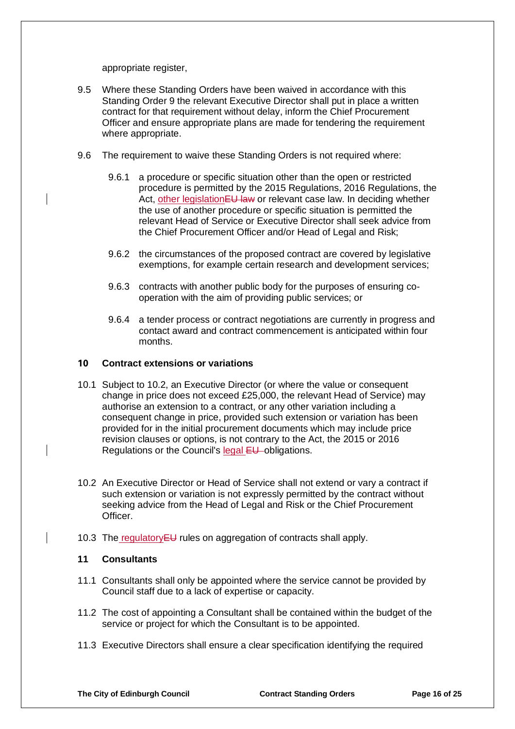appropriate register,

- 9.5 Where these Standing Orders have been waived in accordance with this Standing Order 9 the relevant Executive Director shall put in place a written contract for that requirement without delay, inform the Chief Procurement Officer and ensure appropriate plans are made for tendering the requirement where appropriate.
- 9.6 The requirement to waive these Standing Orders is not required where:
	- 9.6.1 a procedure or specific situation other than the open or restricted procedure is permitted by the 2015 Regulations, 2016 Regulations, the Act, other legislation EU law or relevant case law. In deciding whether the use of another procedure or specific situation is permitted the relevant Head of Service or Executive Director shall seek advice from the Chief Procurement Officer and/or Head of Legal and Risk;
	- 9.6.2 the circumstances of the proposed contract are covered by legislative exemptions, for example certain research and development services;
	- 9.6.3 contracts with another public body for the purposes of ensuring cooperation with the aim of providing public services; or
	- 9.6.4 a tender process or contract negotiations are currently in progress and contact award and contract commencement is anticipated within four months.

#### **10 Contract extensions or variations**

- 10.1 Subject to 10.2, an Executive Director (or where the value or consequent change in price does not exceed £25,000, the relevant Head of Service) may authorise an extension to a contract, or any other variation including a consequent change in price, provided such extension or variation has been provided for in the initial procurement documents which may include price revision clauses or options, is not contrary to the Act, the 2015 or 2016 Regulations or the Council's legal EU obligations.
- 10.2 An Executive Director or Head of Service shall not extend or vary a contract if such extension or variation is not expressly permitted by the contract without seeking advice from the Head of Legal and Risk or the Chief Procurement Officer.
- 10.3 The regulatory EU rules on aggregation of contracts shall apply.

#### **11 Consultants**

- 11.1 Consultants shall only be appointed where the service cannot be provided by Council staff due to a lack of expertise or capacity.
- 11.2 The cost of appointing a Consultant shall be contained within the budget of the service or project for which the Consultant is to be appointed.
- 11.3 Executive Directors shall ensure a clear specification identifying the required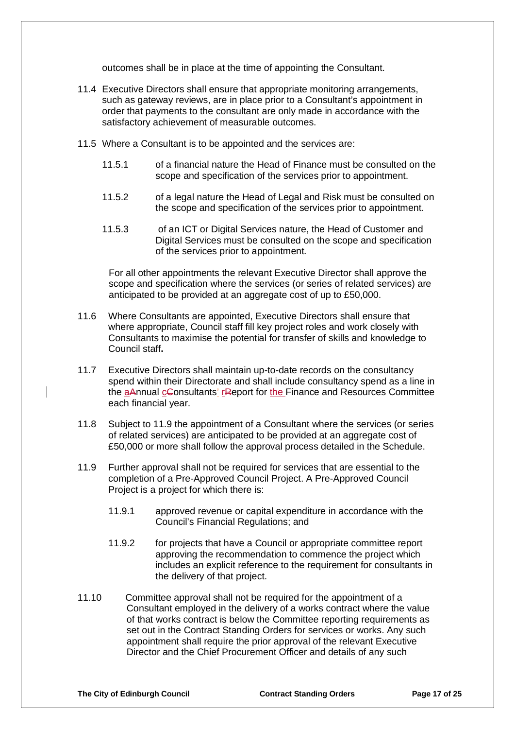outcomes shall be in place at the time of appointing the Consultant.

- 11.4 Executive Directors shall ensure that appropriate monitoring arrangements, such as gateway reviews, are in place prior to a Consultant's appointment in order that payments to the consultant are only made in accordance with the satisfactory achievement of measurable outcomes.
- 11.5 Where a Consultant is to be appointed and the services are:
	- 11.5.1 of a financial nature the Head of Finance must be consulted on the scope and specification of the services prior to appointment.
	- 11.5.2 of a legal nature the Head of Legal and Risk must be consulted on the scope and specification of the services prior to appointment.
	- 11.5.3 of an ICT or Digital Services nature, the Head of Customer and Digital Services must be consulted on the scope and specification of the services prior to appointment.

For all other appointments the relevant Executive Director shall approve the scope and specification where the services (or series of related services) are anticipated to be provided at an aggregate cost of up to £50,000.

- 11.6 Where Consultants are appointed, Executive Directors shall ensure that where appropriate, Council staff fill key project roles and work closely with Consultants to maximise the potential for transfer of skills and knowledge to Council staff**.**
- 11.7 Executive Directors shall maintain up-to-date records on the consultancy spend within their Directorate and shall include consultancy spend as a line in the aAnnual cConsultants' rReport for the Finance and Resources Committee each financial year.
- 11.8 Subject to 11.9 the appointment of a Consultant where the services (or series of related services) are anticipated to be provided at an aggregate cost of £50,000 or more shall follow the approval process detailed in the Schedule.
- 11.9 Further approval shall not be required for services that are essential to the completion of a Pre-Approved Council Project. A Pre-Approved Council Project is a project for which there is:
	- 11.9.1 approved revenue or capital expenditure in accordance with the Council's Financial Regulations; and
	- 11.9.2 for projects that have a Council or appropriate committee report approving the recommendation to commence the project which includes an explicit reference to the requirement for consultants in the delivery of that project.
- 11.10 Committee approval shall not be required for the appointment of a Consultant employed in the delivery of a works contract where the value of that works contract is below the Committee reporting requirements as set out in the Contract Standing Orders for services or works. Any such appointment shall require the prior approval of the relevant Executive Director and the Chief Procurement Officer and details of any such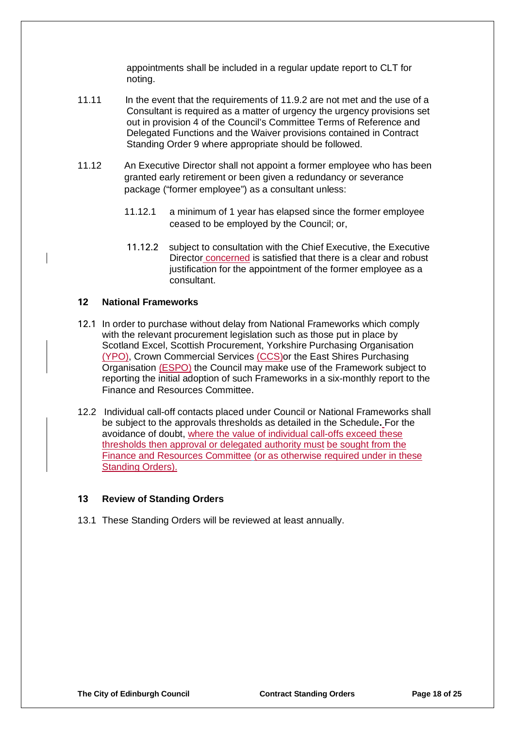appointments shall be included in a regular update report to CLT for noting.

- 11.11 In the event that the requirements of 11.9.2 are not met and the use of a Consultant is required as a matter of urgency the urgency provisions set out in provision 4 of the Council's Committee Terms of Reference and Delegated Functions and the Waiver provisions contained in Contract Standing Order 9 where appropriate should be followed.
- 11.12 An Executive Director shall not appoint a former employee who has been granted early retirement or been given a redundancy or severance package ("former employee") as a consultant unless:
	- 11.12.1 a minimum of 1 year has elapsed since the former employee ceased to be employed by the Council; or,
	- 11.12.2 subject to consultation with the Chief Executive, the Executive Director concerned is satisfied that there is a clear and robust justification for the appointment of the former employee as a consultant.

#### **12 National Frameworks**

- 12.1 In order to purchase without delay from National Frameworks which comply with the relevant procurement legislation such as those put in place by Scotland Excel, Scottish Procurement, Yorkshire Purchasing Organisation (YPO), Crown Commercial Services (CCS)or the East Shires Purchasing Organisation (ESPO) the Council may make use of the Framework subject to reporting the initial adoption of such Frameworks in a six-monthly report to the Finance and Resources Committee.
- 12.2 Individual call-off contacts placed under Council or National Frameworks shall be subject to the approvals thresholds as detailed in the Schedule**.** For the avoidance of doubt, where the value of individual call-offs exceed these thresholds then approval or delegated authority must be sought from the Finance and Resources Committee (or as otherwise required under in these Standing Orders).

#### **13 Review of Standing Orders**

13.1 These Standing Orders will be reviewed at least annually.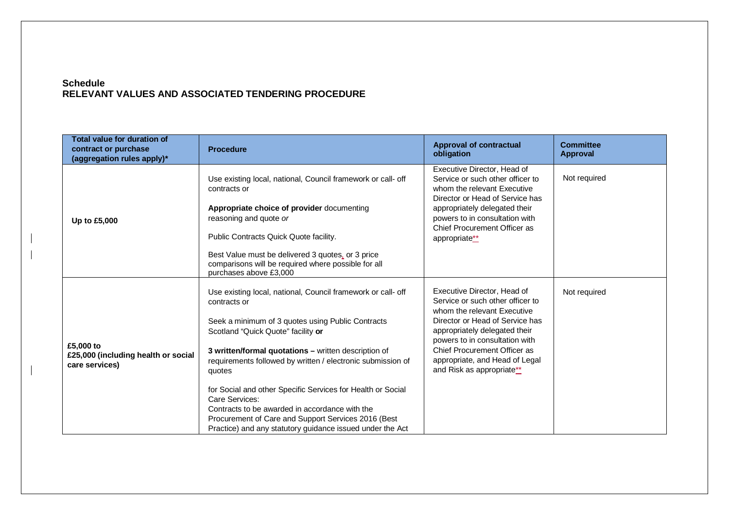#### **Schedule RELEVANT VALUES AND ASSOCIATED TENDERING PROCEDURE**

| <b>Total value for duration of</b><br>contract or purchase<br>(aggregation rules apply)* | <b>Procedure</b>                                                                                                                                                                                                                                                                                                                                                                                                                                                                                                                                                | <b>Approval of contractual</b><br>obligation                                                                                                                                                                                                                                                        | <b>Committee</b><br><b>Approval</b> |
|------------------------------------------------------------------------------------------|-----------------------------------------------------------------------------------------------------------------------------------------------------------------------------------------------------------------------------------------------------------------------------------------------------------------------------------------------------------------------------------------------------------------------------------------------------------------------------------------------------------------------------------------------------------------|-----------------------------------------------------------------------------------------------------------------------------------------------------------------------------------------------------------------------------------------------------------------------------------------------------|-------------------------------------|
| Up to £5,000                                                                             | Use existing local, national, Council framework or call- off<br>contracts or<br>Appropriate choice of provider documenting<br>reasoning and quote or<br>Public Contracts Quick Quote facility.<br>Best Value must be delivered 3 quotes, or 3 price<br>comparisons will be required where possible for all<br>purchases above £3,000                                                                                                                                                                                                                            | Executive Director, Head of<br>Service or such other officer to<br>whom the relevant Executive<br>Director or Head of Service has<br>appropriately delegated their<br>powers to in consultation with<br>Chief Procurement Officer as<br>appropriate**                                               | Not required                        |
| £5,000 to<br>£25,000 (including health or social<br>care services)                       | Use existing local, national, Council framework or call- off<br>contracts or<br>Seek a minimum of 3 quotes using Public Contracts<br>Scotland "Quick Quote" facility or<br>3 written/formal quotations - written description of<br>requirements followed by written / electronic submission of<br>quotes<br>for Social and other Specific Services for Health or Social<br>Care Services:<br>Contracts to be awarded in accordance with the<br>Procurement of Care and Support Services 2016 (Best<br>Practice) and any statutory guidance issued under the Act | Executive Director, Head of<br>Service or such other officer to<br>whom the relevant Executive<br>Director or Head of Service has<br>appropriately delegated their<br>powers to in consultation with<br>Chief Procurement Officer as<br>appropriate, and Head of Legal<br>and Risk as appropriate** | Not required                        |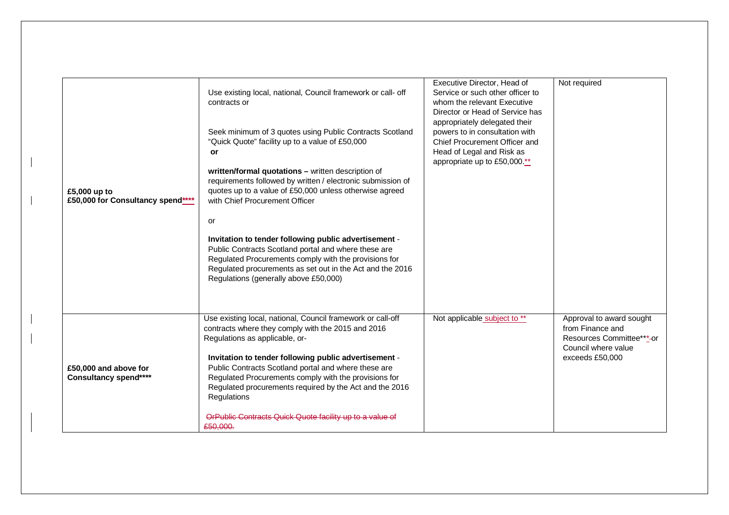| £5,000 up to<br>£50,000 for Consultancy spend**** | Use existing local, national, Council framework or call- off<br>contracts or<br>Seek minimum of 3 quotes using Public Contracts Scotland<br>"Quick Quote" facility up to a value of £50,000<br><b>or</b><br>written/formal quotations - written description of<br>requirements followed by written / electronic submission of<br>quotes up to a value of £50,000 unless otherwise agreed<br>with Chief Procurement Officer<br>or<br>Invitation to tender following public advertisement -<br>Public Contracts Scotland portal and where these are<br>Regulated Procurements comply with the provisions for<br>Regulated procurements as set out in the Act and the 2016<br>Regulations (generally above £50,000) | Executive Director, Head of<br>Service or such other officer to<br>whom the relevant Executive<br>Director or Head of Service has<br>appropriately delegated their<br>powers to in consultation with<br>Chief Procurement Officer and<br>Head of Legal and Risk as<br>appropriate up to £50,000.** | Not required                                                                                                        |
|---------------------------------------------------|------------------------------------------------------------------------------------------------------------------------------------------------------------------------------------------------------------------------------------------------------------------------------------------------------------------------------------------------------------------------------------------------------------------------------------------------------------------------------------------------------------------------------------------------------------------------------------------------------------------------------------------------------------------------------------------------------------------|----------------------------------------------------------------------------------------------------------------------------------------------------------------------------------------------------------------------------------------------------------------------------------------------------|---------------------------------------------------------------------------------------------------------------------|
| £50,000 and above for<br>Consultancy spend****    | Use existing local, national, Council framework or call-off<br>contracts where they comply with the 2015 and 2016<br>Regulations as applicable, or-<br>Invitation to tender following public advertisement -<br>Public Contracts Scotland portal and where these are<br>Regulated Procurements comply with the provisions for<br>Regulated procurements required by the Act and the 2016<br>Regulations<br>OrPublic Contracts Quick Quote facility up to a value of<br>£50,000.                                                                                                                                                                                                                                  | Not applicable subject to **                                                                                                                                                                                                                                                                       | Approval to award sought<br>from Finance and<br>Resources Committee***-or<br>Council where value<br>exceeds £50,000 |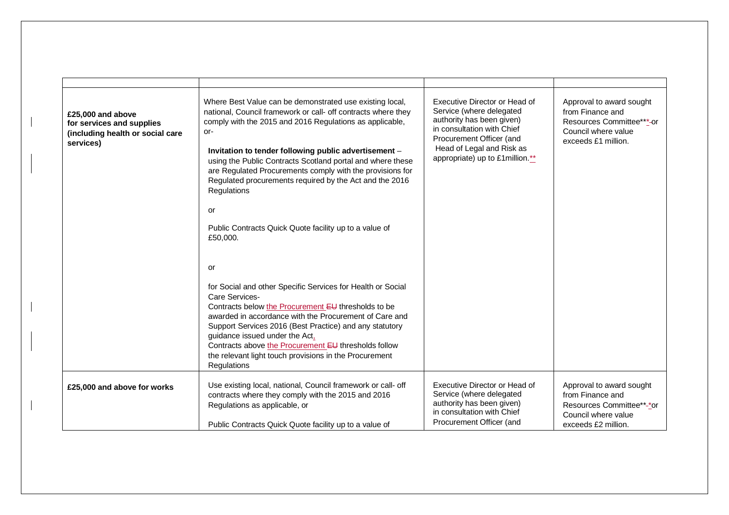| £25,000 and above<br>for services and supplies<br>(including health or social care<br>services) | Where Best Value can be demonstrated use existing local,<br>national, Council framework or call- off contracts where they<br>comply with the 2015 and 2016 Regulations as applicable,<br>-or<br>Invitation to tender following public advertisement -<br>using the Public Contracts Scotland portal and where these<br>are Regulated Procurements comply with the provisions for<br>Regulated procurements required by the Act and the 2016<br>Regulations | Executive Director or Head of<br>Service (where delegated<br>authority has been given)<br>in consultation with Chief<br>Procurement Officer (and<br>Head of Legal and Risk as<br>appropriate) up to £1 million.** | Approval to award sought<br>from Finance and<br>Resources Committee***-or<br>Council where value<br>exceeds £1 million. |
|-------------------------------------------------------------------------------------------------|------------------------------------------------------------------------------------------------------------------------------------------------------------------------------------------------------------------------------------------------------------------------------------------------------------------------------------------------------------------------------------------------------------------------------------------------------------|-------------------------------------------------------------------------------------------------------------------------------------------------------------------------------------------------------------------|-------------------------------------------------------------------------------------------------------------------------|
|                                                                                                 | or<br>Public Contracts Quick Quote facility up to a value of<br>£50,000.                                                                                                                                                                                                                                                                                                                                                                                   |                                                                                                                                                                                                                   |                                                                                                                         |
|                                                                                                 | or<br>for Social and other Specific Services for Health or Social                                                                                                                                                                                                                                                                                                                                                                                          |                                                                                                                                                                                                                   |                                                                                                                         |
|                                                                                                 | Care Services-<br>Contracts below the Procurement EU thresholds to be<br>awarded in accordance with the Procurement of Care and<br>Support Services 2016 (Best Practice) and any statutory<br>guidance issued under the Act,<br>Contracts above the Procurement EU thresholds follow<br>the relevant light touch provisions in the Procurement<br>Regulations                                                                                              |                                                                                                                                                                                                                   |                                                                                                                         |
| £25,000 and above for works                                                                     | Use existing local, national, Council framework or call- off<br>contracts where they comply with the 2015 and 2016<br>Regulations as applicable, or<br>Public Contracts Quick Quote facility up to a value of                                                                                                                                                                                                                                              | Executive Director or Head of<br>Service (where delegated<br>authority has been given)<br>in consultation with Chief<br>Procurement Officer (and                                                                  | Approval to award sought<br>from Finance and<br>Resources Committee**-*or<br>Council where value<br>exceeds £2 million. |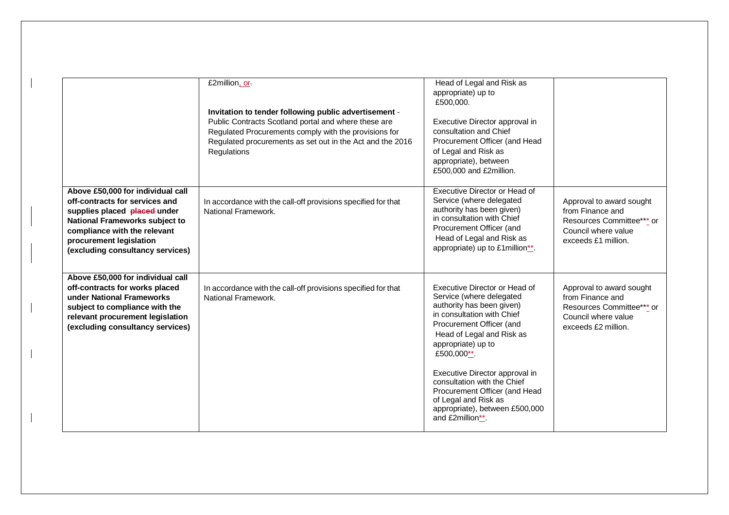|                                                                                                                                                                                                                                      | £2million, or-<br>Invitation to tender following public advertisement -<br>Public Contracts Scotland portal and where these are<br>Regulated Procurements comply with the provisions for<br>Regulated procurements as set out in the Act and the 2016<br>Regulations | Head of Legal and Risk as<br>appropriate) up to<br>£500,000.<br>Executive Director approval in<br>consultation and Chief<br>Procurement Officer (and Head<br>of Legal and Risk as<br>appropriate), between<br>£500,000 and £2million.                                                                                                                                                              |                                                                                                                         |
|--------------------------------------------------------------------------------------------------------------------------------------------------------------------------------------------------------------------------------------|----------------------------------------------------------------------------------------------------------------------------------------------------------------------------------------------------------------------------------------------------------------------|----------------------------------------------------------------------------------------------------------------------------------------------------------------------------------------------------------------------------------------------------------------------------------------------------------------------------------------------------------------------------------------------------|-------------------------------------------------------------------------------------------------------------------------|
| Above £50,000 for individual call<br>off-contracts for services and<br>supplies placed placed under<br>National Frameworks subject to<br>compliance with the relevant<br>procurement legislation<br>(excluding consultancy services) | In accordance with the call-off provisions specified for that<br>National Framework.                                                                                                                                                                                 | Executive Director or Head of<br>Service (where delegated<br>authority has been given)<br>in consultation with Chief<br>Procurement Officer (and<br>Head of Legal and Risk as<br>appropriate) up to £1million**.                                                                                                                                                                                   | Approval to award sought<br>from Finance and<br>Resources Committee*** or<br>Council where value<br>exceeds £1 million. |
| Above £50,000 for individual call<br>off-contracts for works placed<br>under National Frameworks<br>subject to compliance with the<br>relevant procurement legislation<br>(excluding consultancy services)                           | In accordance with the call-off provisions specified for that<br>National Framework.                                                                                                                                                                                 | Executive Director or Head of<br>Service (where delegated<br>authority has been given)<br>in consultation with Chief<br>Procurement Officer (and<br>Head of Legal and Risk as<br>appropriate) up to<br>£500,000**.<br>Executive Director approval in<br>consultation with the Chief<br>Procurement Officer (and Head<br>of Legal and Risk as<br>appropriate), between £500,000<br>and £2million**. | Approval to award sought<br>from Finance and<br>Resources Committee*** or<br>Council where value<br>exceeds £2 million. |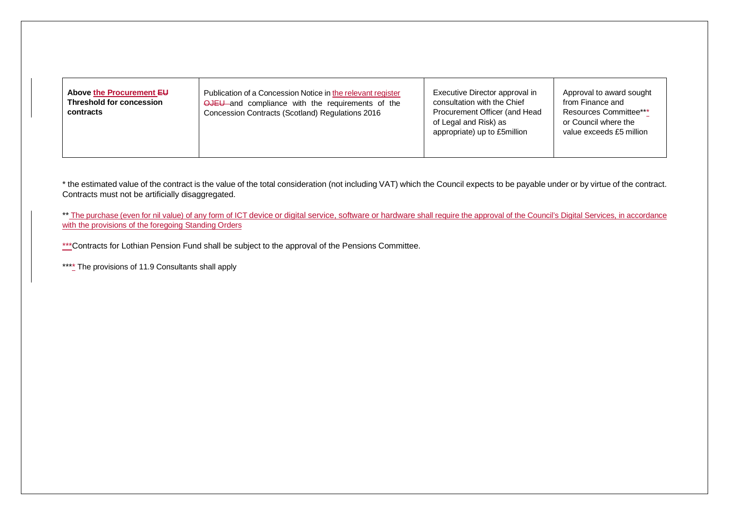| Above the Procurement EU<br>Threshold for concession<br>contracts | Publication of a Concession Notice in the relevant register<br><b>OJEU</b> and compliance with the requirements of the<br>Concession Contracts (Scotland) Regulations 2016 | Executive Director approval in<br>consultation with the Chief<br>Procurement Officer (and Head<br>of Legal and Risk) as<br>appropriate) up to £5million | Approval to award sought<br>from Finance and<br><b>Resources Committee***</b><br>or Council where the<br>value exceeds £5 million |
|-------------------------------------------------------------------|----------------------------------------------------------------------------------------------------------------------------------------------------------------------------|---------------------------------------------------------------------------------------------------------------------------------------------------------|-----------------------------------------------------------------------------------------------------------------------------------|
|-------------------------------------------------------------------|----------------------------------------------------------------------------------------------------------------------------------------------------------------------------|---------------------------------------------------------------------------------------------------------------------------------------------------------|-----------------------------------------------------------------------------------------------------------------------------------|

\* the estimated value of the contract is the value of the total consideration (not including VAT) which the Council expects to be payable under or by virtue of the contract. Contracts must not be artificially disaggregated.

\*\* The purchase (even for nil value) of any form of ICT device or digital service, software or hardware shall require the approval of the Council's Digital Services, in accordance with the provisions of the foregoing Standing Orders

\*\*\* Contracts for Lothian Pension Fund shall be subject to the approval of the Pensions Committee.

\*\*\*\*\* The provisions of 11.9 Consultants shall apply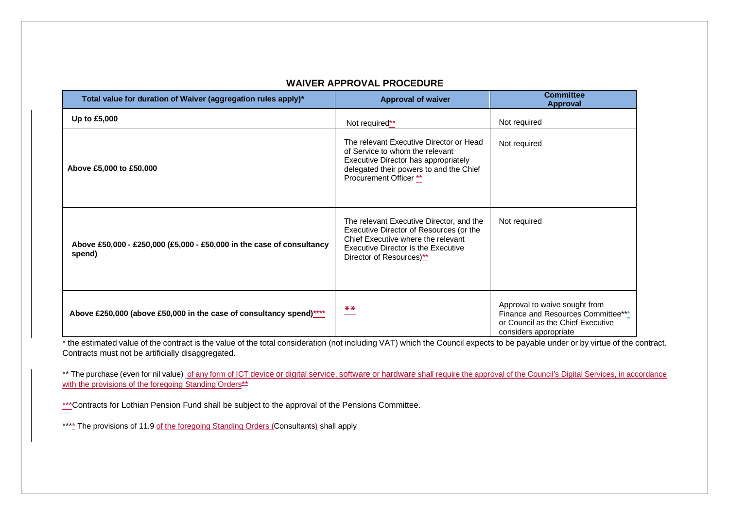| Total value for duration of Waiver (aggregation rules apply)*                   | <b>Approval of waiver</b>                                                                                                                                                                    | <b>Committee</b><br><b>Approval</b>                                                                                               |
|---------------------------------------------------------------------------------|----------------------------------------------------------------------------------------------------------------------------------------------------------------------------------------------|-----------------------------------------------------------------------------------------------------------------------------------|
| Up to £5,000                                                                    | Not required**                                                                                                                                                                               | Not required                                                                                                                      |
| Above £5,000 to £50,000                                                         | The relevant Executive Director or Head<br>of Service to whom the relevant<br>Executive Director has appropriately<br>delegated their powers to and the Chief<br>Procurement Officer **      | Not required                                                                                                                      |
| Above £50,000 - £250,000 (£5,000 - £50,000 in the case of consultancy<br>spend) | The relevant Executive Director, and the<br>Executive Director of Resources (or the<br>Chief Executive where the relevant<br>Executive Director is the Executive<br>Director of Resources)** | Not required                                                                                                                      |
| Above £250,000 (above £50,000 in the case of consultancy spend)****             | $* *$                                                                                                                                                                                        | Approval to waive sought from<br>Finance and Resources Committee***<br>or Council as the Chief Executive<br>considers appropriate |

#### **WAIVER APPROVAL PROCEDURE**

\* the estimated value of the contract is the value of the total consideration (not including VAT) which the Council expects to be payable under or by virtue of the contract. Contracts must not be artificially disaggregated.

\*\* The purchase (even for nil value) of any form of ICT device or digital service, software or hardware shall require the approval of the Council's Digital Services, in accordance with the provisions of the foregoing Standing Orders<sup>\*\*</sup>

\*\*\*Contracts for Lothian Pension Fund shall be subject to the approval of the Pensions Committee.

\*\*\*\* The provisions of 11.9 of the foregoing Standing Orders (Consultants) shall apply